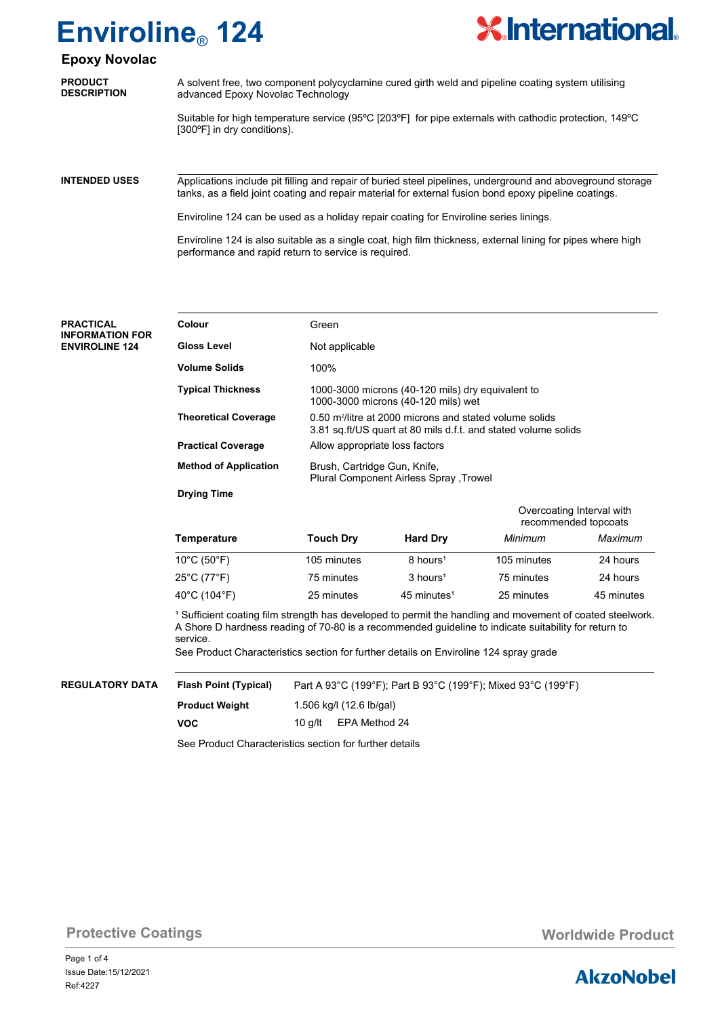

### **Epoxy Novolac**

| <b>PRODUCT</b>     | A solvent free, two component polycyclamine cured girth weld and pipeline coating system utilising                                    |
|--------------------|---------------------------------------------------------------------------------------------------------------------------------------|
| <b>DESCRIPTION</b> | advanced Epoxy Novolac Technology.                                                                                                    |
|                    | Suitable for high temperature service (95°C [203°F] for pipe externals with cathodic protection, 149°C<br>[300°F] in dry conditions). |

Applications include pit filling and repair of buried steel pipelines, underground and aboveground storage tanks, as a field joint coating and repair material for external fusion bond epoxy pipeline coatings. **INTENDED USES**

Enviroline 124 can be used as a holiday repair coating for Enviroline series linings.

Enviroline 124 is also suitable as a single coat, high film thickness, external lining for pipes where high performance and rapid return to service is required.

Green Not applicable 100% 1000-3000 microns (40-120 mils) dry equivalent to 1000-3000 microns (40-120 mils) wet 0.50 m<sup>2</sup>/litre at 2000 microns and stated volume solids 3.81 sq.ft/US quart at 80 mils d.f.t. and stated volume solids Allow appropriate loss factors Brush, Cartridge Gun, Knife, Plural Component Airless Spray ,Trowel **PRACTICAL INFORMATION FOR ENVIROLINE 124 Colour Gloss Level Volume Solids Typical Thickness Theoretical Coverage Practical Coverage Method of Application Drying Time Temperature Touch Dry Hard Dry** *Minimum Maximum* 1 Sufficient coating film strength has developed to permit the handling and movement of coated steelwork. A Shore D hardness reading of 70-80 is a recommended guideline to indicate suitability for return to service. See Product Characteristics section for further details on Enviroline 124 spray grade Overcoating Interval with recommended topcoats  $10^{\circ}$ C (50 $^{\circ}$ F) 105 minutes 105 minutes 105 minutes 105 minutes 24 hours 25°C (77°F) 75 minutes 24 hours<sup>1</sup> 75 minutes 24 hours 40°C (104°F) 25 minutes 45 minutes 45 minutes 45 minutes 45 minutes Part A 93°C (199°F); Part B 93°C (199°F); Mixed 93°C (199°F) 1.506 kg/l (12.6 lb/gal) **REGULATORY DATA Flash Point (Typical) Product Weight VOC** 10 g/lt EPA Method 24

See Product Characteristics section for further details

**Protective Coatings Monetable Product Monetable Product Worldwide Product** 

### **AkzoNobel**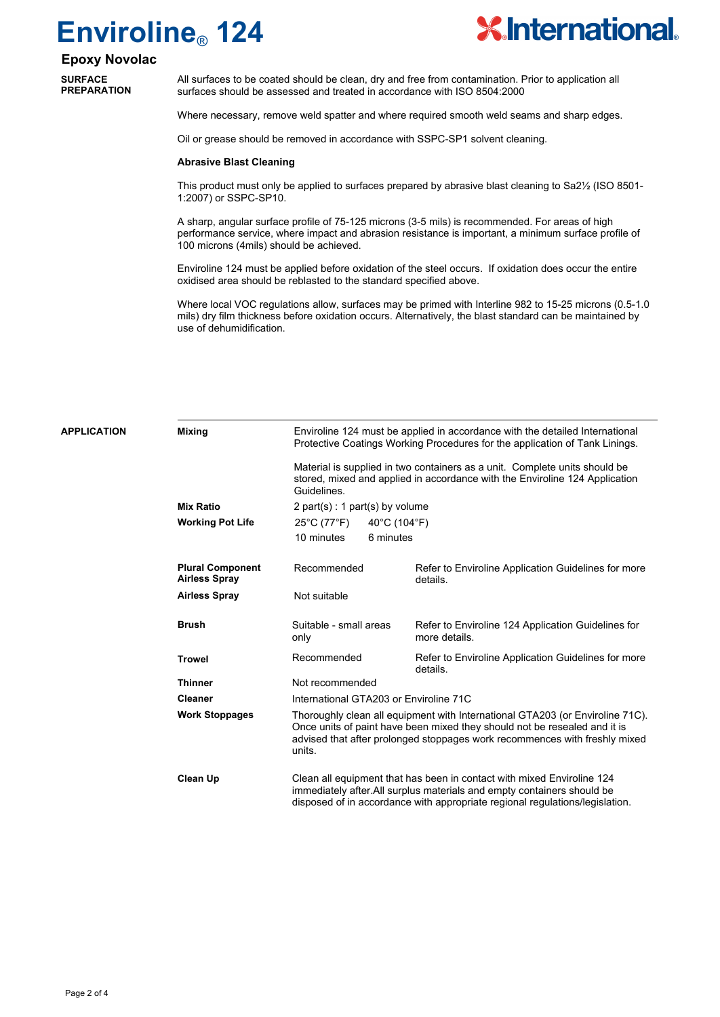

### **Epoxy Novolac**

**SURFACE PREPARATION**

**APPLICATION** 

All surfaces to be coated should be clean, dry and free from contamination. Prior to application all surfaces should be assessed and treated in accordance with ISO 8504:2000

Where necessary, remove weld spatter and where required smooth weld seams and sharp edges.

Oil or grease should be removed in accordance with SSPC-SP1 solvent cleaning.

#### **Abrasive Blast Cleaning**

This product must only be applied to surfaces prepared by abrasive blast cleaning to Sa2½ (ISO 8501- 1:2007) or SSPC-SP10.

A sharp, angular surface profile of 75-125 microns (3-5 mils) is recommended. For areas of high performance service, where impact and abrasion resistance is important, a minimum surface profile of 100 microns (4mils) should be achieved.

Enviroline 124 must be applied before oxidation of the steel occurs. If oxidation does occur the entire oxidised area should be reblasted to the standard specified above.

Where local VOC regulations allow, surfaces may be primed with Interline 982 to 15-25 microns (0.5-1.0 mils) dry film thickness before oxidation occurs. Alternatively, the blast standard can be maintained by use of dehumidification.

|              | <b>Mixing</b>                                   | Enviroline 124 must be applied in accordance with the detailed International<br>Protective Coatings Working Procedures for the application of Tank Linings.                                                                                        |                                                                     |  |  |  |  |
|--------------|-------------------------------------------------|----------------------------------------------------------------------------------------------------------------------------------------------------------------------------------------------------------------------------------------------------|---------------------------------------------------------------------|--|--|--|--|
|              |                                                 | Material is supplied in two containers as a unit. Complete units should be<br>stored, mixed and applied in accordance with the Enviroline 124 Application<br>Guidelines.                                                                           |                                                                     |  |  |  |  |
|              | <b>Mix Ratio</b>                                | $2$ part(s) : 1 part(s) by volume                                                                                                                                                                                                                  |                                                                     |  |  |  |  |
|              | <b>Working Pot Life</b>                         | 25°C (77°F)<br>40°C (104°F)                                                                                                                                                                                                                        |                                                                     |  |  |  |  |
|              |                                                 | 10 minutes<br>6 minutes                                                                                                                                                                                                                            |                                                                     |  |  |  |  |
|              | <b>Plural Component</b><br><b>Airless Spray</b> | Recommended                                                                                                                                                                                                                                        | Refer to Enviroline Application Guidelines for more<br>details.     |  |  |  |  |
|              | <b>Airless Spray</b>                            | Not suitable                                                                                                                                                                                                                                       |                                                                     |  |  |  |  |
| <b>Brush</b> |                                                 | Suitable - small areas<br>only                                                                                                                                                                                                                     | Refer to Enviroline 124 Application Guidelines for<br>more details. |  |  |  |  |
|              | <b>Trowel</b>                                   | Recommended                                                                                                                                                                                                                                        | Refer to Enviroline Application Guidelines for more<br>details.     |  |  |  |  |
|              | <b>Thinner</b>                                  | Not recommended<br>International GTA203 or Enviroline 71C                                                                                                                                                                                          |                                                                     |  |  |  |  |
|              | <b>Cleaner</b>                                  |                                                                                                                                                                                                                                                    |                                                                     |  |  |  |  |
|              | <b>Work Stoppages</b>                           | Thoroughly clean all equipment with International GTA203 (or Enviroline 71C).<br>Once units of paint have been mixed they should not be resealed and it is<br>advised that after prolonged stoppages work recommences with freshly mixed<br>units. |                                                                     |  |  |  |  |
|              | <b>Clean Up</b>                                 | Clean all equipment that has been in contact with mixed Enviroline 124<br>immediately after. All surplus materials and empty containers should be<br>disposed of in accordance with appropriate regional regulations/legislation.                  |                                                                     |  |  |  |  |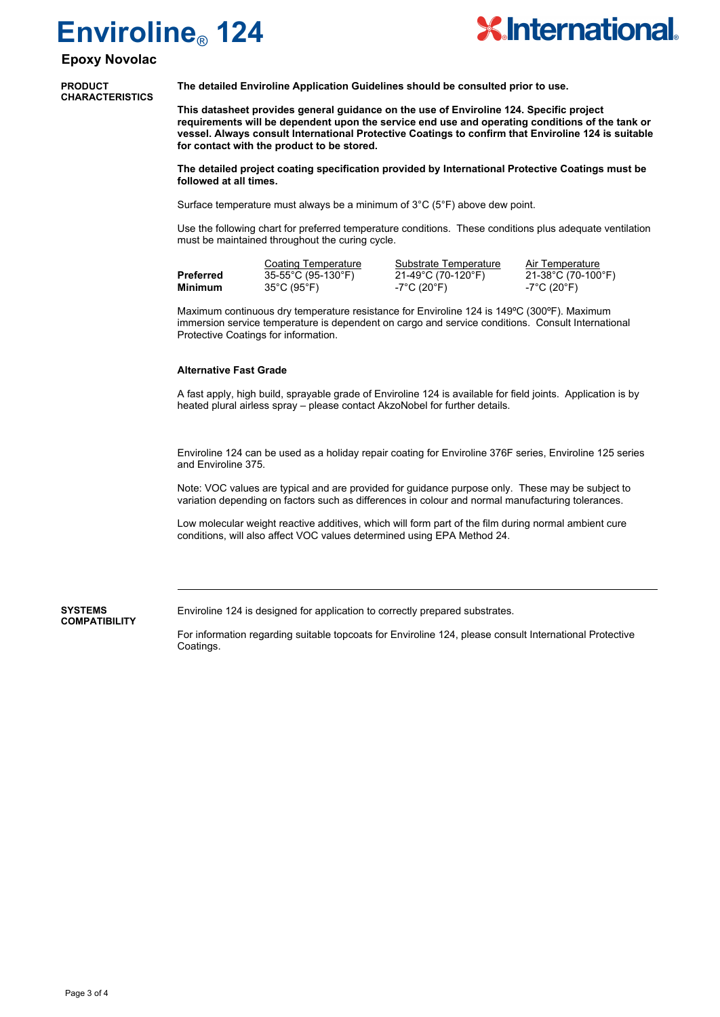

### **Epoxy Novolac**

**PRODUCT CHARACTERISTICS** **The detailed Enviroline Application Guidelines should be consulted prior to use.**

**This datasheet provides general guidance on the use of Enviroline 124. Specific project requirements will be dependent upon the service end use and operating conditions of the tank or vessel. Always consult International Protective Coatings to confirm that Enviroline 124 is suitable for contact with the product to be stored.**

**The detailed project coating specification provided by International Protective Coatings must be followed at all times.** 

Surface temperature must always be a minimum of 3°C (5°F) above dew point.

Use the following chart for preferred temperature conditions. These conditions plus adequate ventilation must be maintained throughout the curing cycle.

Coating Temperature Substrate Temperature Air Temperature<br>
35-55°C (95-130°F) 21-49°C (70-120°F) 21-38°C (70-100°F) **Preferred** 35-55°C (95-130°F) 21-49°C (70-120°F) **Minimum** 35°C (95°F) -7°C (20°F) -7°C (20°F)

Maximum continuous dry temperature resistance for Enviroline 124 is 149ºC (300ºF). Maximum immersion service temperature is dependent on cargo and service conditions. Consult International Protective Coatings for information.

#### **Alternative Fast Grade**

A fast apply, high build, sprayable grade of Enviroline 124 is available for field joints. Application is by heated plural airless spray – please contact AkzoNobel for further details.

Enviroline 124 can be used as a holiday repair coating for Enviroline 376F series, Enviroline 125 series and Enviroline 375.

Note: VOC values are typical and are provided for guidance purpose only. These may be subject to variation depending on factors such as differences in colour and normal manufacturing tolerances.

Low molecular weight reactive additives, which will form part of the film during normal ambient cure conditions, will also affect VOC values determined using EPA Method 24.

#### **SYSTEMS COMPATIBILITY**

Enviroline 124 is designed for application to correctly prepared substrates.

For information regarding suitable topcoats for Enviroline 124, please consult International Protective Coatings.